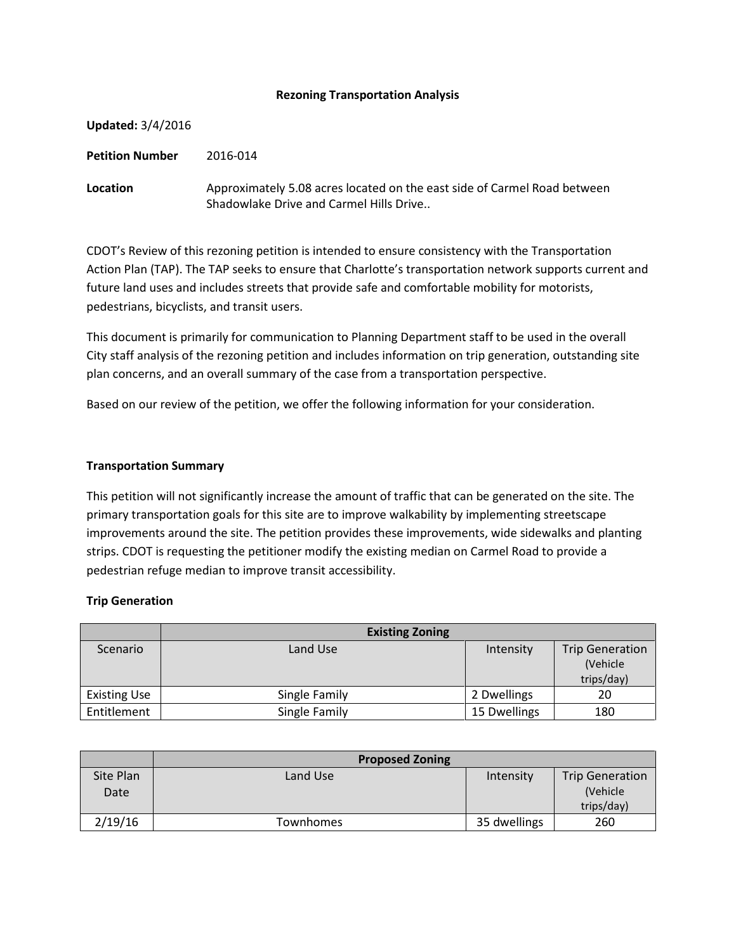### **Rezoning Transportation Analysis**

| <b>Updated: 3/4/2016</b> |                                                                                                                     |
|--------------------------|---------------------------------------------------------------------------------------------------------------------|
| <b>Petition Number</b>   | 2016-014                                                                                                            |
| Location                 | Approximately 5.08 acres located on the east side of Carmel Road between<br>Shadowlake Drive and Carmel Hills Drive |

CDOT's Review of this rezoning petition is intended to ensure consistency with the Transportation Action Plan (TAP). The TAP seeks to ensure that Charlotte's transportation network supports current and future land uses and includes streets that provide safe and comfortable mobility for motorists, pedestrians, bicyclists, and transit users.

This document is primarily for communication to Planning Department staff to be used in the overall City staff analysis of the rezoning petition and includes information on trip generation, outstanding site plan concerns, and an overall summary of the case from a transportation perspective.

Based on our review of the petition, we offer the following information for your consideration.

#### **Transportation Summary**

This petition will not significantly increase the amount of traffic that can be generated on the site. The primary transportation goals for this site are to improve walkability by implementing streetscape improvements around the site. The petition provides these improvements, wide sidewalks and planting strips. CDOT is requesting the petitioner modify the existing median on Carmel Road to provide a pedestrian refuge median to improve transit accessibility.

# **Trip Generation**

|                     | <b>Existing Zoning</b> |              |                        |
|---------------------|------------------------|--------------|------------------------|
| Scenario            | Land Use               | Intensity    | <b>Trip Generation</b> |
|                     |                        |              | (Vehicle               |
|                     |                        |              | trips/day)             |
| <b>Existing Use</b> | Single Family          | 2 Dwellings  | 20                     |
| Entitlement         | Single Family          | 15 Dwellings | 180                    |

|                   | <b>Proposed Zoning</b> |              |                                                  |
|-------------------|------------------------|--------------|--------------------------------------------------|
| Site Plan<br>Date | Land Use               | Intensity    | <b>Trip Generation</b><br>(Vehicle<br>trips/day) |
| 2/19/16           | Townhomes              | 35 dwellings | 260                                              |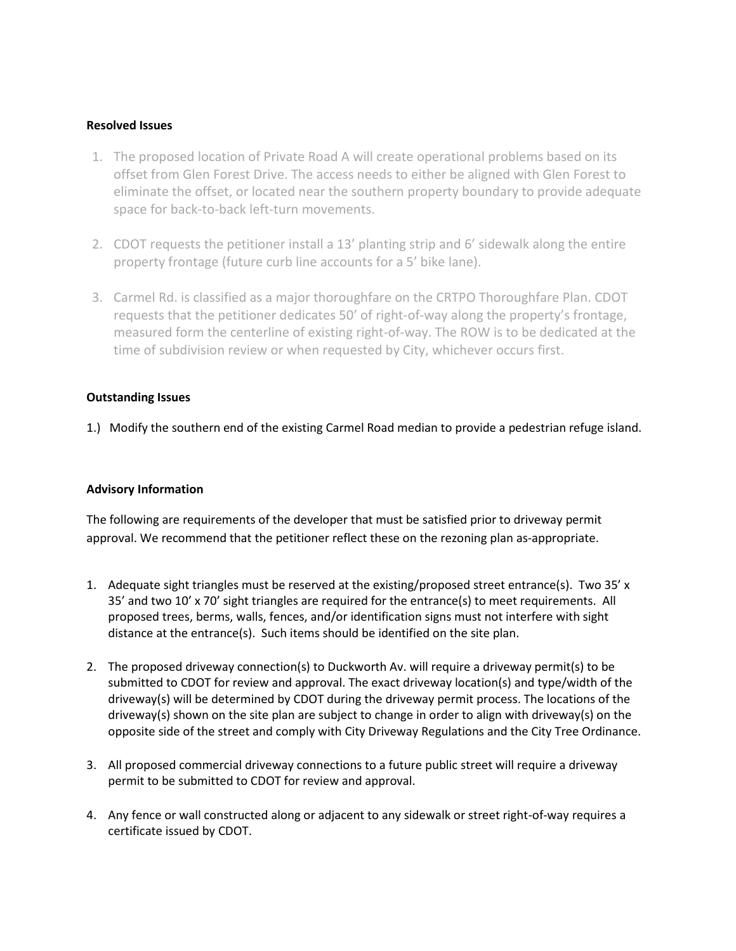## **Resolved Issues**

- 1. The proposed location of Private Road A will create operational problems based on its offset from Glen Forest Drive. The access needs to either be aligned with Glen Forest to eliminate the offset, or located near the southern property boundary to provide adequate space for back-to-back left-turn movements.
- 2. CDOT requests the petitioner install a 13' planting strip and 6' sidewalk along the entire property frontage (future curb line accounts for a 5' bike lane).
- 3. Carmel Rd. is classified as a major thoroughfare on the CRTPO Thoroughfare Plan. CDOT requests that the petitioner dedicates 50' of right-of-way along the property's frontage, measured form the centerline of existing right-of-way. The ROW is to be dedicated at the time of subdivision review or when requested by City, whichever occurs first.

# **Outstanding Issues**

1.) Modify the southern end of the existing Carmel Road median to provide a pedestrian refuge island.

# **Advisory Information**

The following are requirements of the developer that must be satisfied prior to driveway permit approval. We recommend that the petitioner reflect these on the rezoning plan as-appropriate.

- 1. Adequate sight triangles must be reserved at the existing/proposed street entrance(s). Two 35' x 35' and two 10' x 70' sight triangles are required for the entrance(s) to meet requirements. All proposed trees, berms, walls, fences, and/or identification signs must not interfere with sight distance at the entrance(s). Such items should be identified on the site plan.
- 2. The proposed driveway connection(s) to Duckworth Av. will require a driveway permit(s) to be submitted to CDOT for review and approval. The exact driveway location(s) and type/width of the driveway(s) will be determined by CDOT during the driveway permit process. The locations of the driveway(s) shown on the site plan are subject to change in order to align with driveway(s) on the opposite side of the street and comply with City Driveway Regulations and the City Tree Ordinance.
- 3. All proposed commercial driveway connections to a future public street will require a driveway permit to be submitted to CDOT for review and approval.
- 4. Any fence or wall constructed along or adjacent to any sidewalk or street right-of-way requires a certificate issued by CDOT.